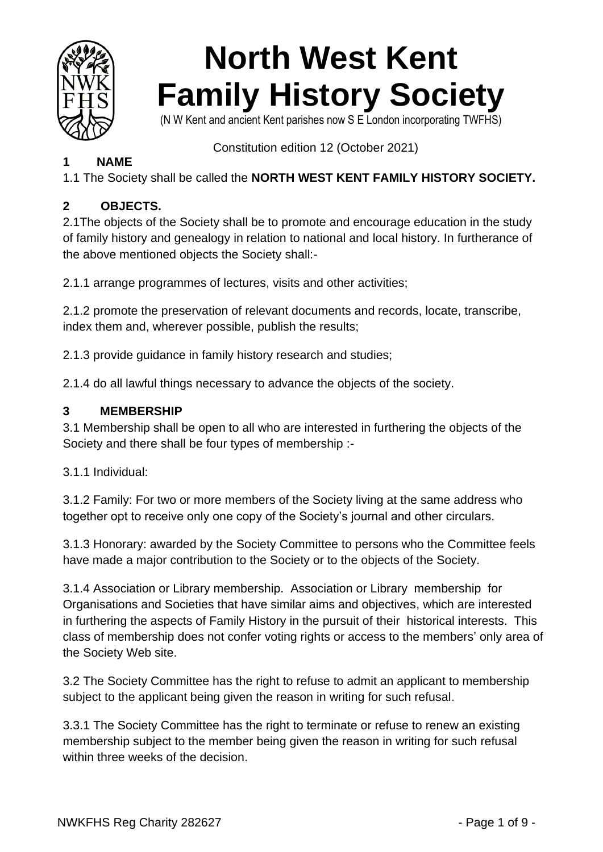

# **North West Kent Family History Society**

(N W Kent and ancient Kent parishes now S E London incorporating TWFHS)

Constitution edition 12 (October 2021)

# **1 NAME**

1.1 The Society shall be called the **NORTH WEST KENT FAMILY HISTORY SOCIETY.**

# **2 OBJECTS.**

2.1The objects of the Society shall be to promote and encourage education in the study of family history and genealogy in relation to national and local history. In furtherance of the above mentioned objects the Society shall:-

2.1.1 arrange programmes of lectures, visits and other activities;

2.1.2 promote the preservation of relevant documents and records, locate, transcribe, index them and, wherever possible, publish the results;

2.1.3 provide guidance in family history research and studies;

2.1.4 do all lawful things necessary to advance the objects of the society.

# **3 MEMBERSHIP**

3.1 Membership shall be open to all who are interested in furthering the objects of the Society and there shall be four types of membership :-

3.1.1 Individual:

3.1.2 Family: For two or more members of the Society living at the same address who together opt to receive only one copy of the Society's journal and other circulars.

3.1.3 Honorary: awarded by the Society Committee to persons who the Committee feels have made a major contribution to the Society or to the objects of the Society.

3.1.4 Association or Library membership. Association or Library membership for Organisations and Societies that have similar aims and objectives, which are interested in furthering the aspects of Family History in the pursuit of their historical interests. This class of membership does not confer voting rights or access to the members' only area of the Society Web site.

3.2 The Society Committee has the right to refuse to admit an applicant to membership subject to the applicant being given the reason in writing for such refusal.

3.3.1 The Society Committee has the right to terminate or refuse to renew an existing membership subject to the member being given the reason in writing for such refusal within three weeks of the decision.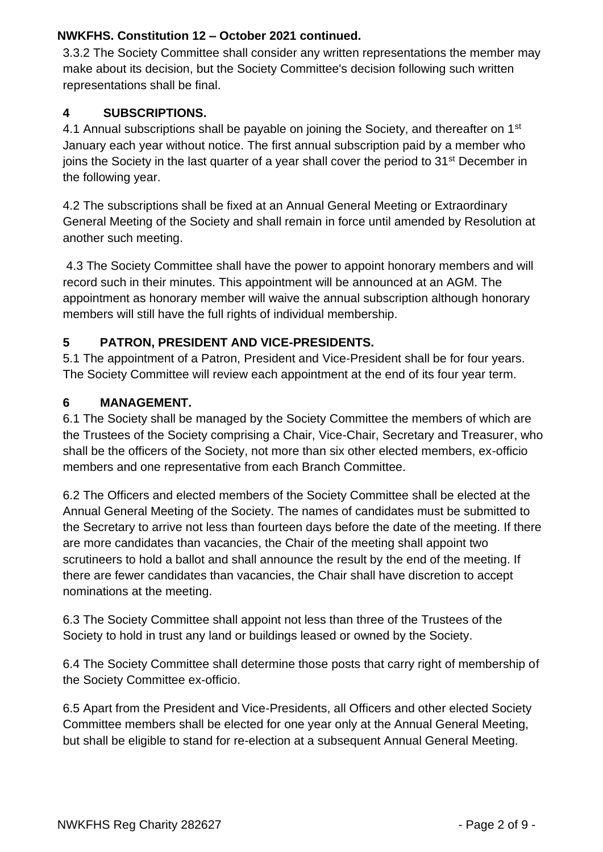3.3.2 The Society Committee shall consider any written representations the member may make about its decision, but the Society Committee's decision following such written representations shall be final.

# **4 SUBSCRIPTIONS.**

4.1 Annual subscriptions shall be payable on joining the Society, and thereafter on 1<sup>st</sup> January each year without notice. The first annual subscription paid by a member who joins the Society in the last quarter of a year shall cover the period to 31<sup>st</sup> December in the following year.

4.2 The subscriptions shall be fixed at an Annual General Meeting or Extraordinary General Meeting of the Society and shall remain in force until amended by Resolution at another such meeting.

4.3 The Society Committee shall have the power to appoint honorary members and will record such in their minutes. This appointment will be announced at an AGM. The appointment as honorary member will waive the annual subscription although honorary members will still have the full rights of individual membership.

#### **5 PATRON, PRESIDENT AND VICE-PRESIDENTS.**

5.1 The appointment of a Patron, President and Vice-President shall be for four years. The Society Committee will review each appointment at the end of its four year term.

#### **6 MANAGEMENT.**

6.1 The Society shall be managed by the Society Committee the members of which are the Trustees of the Society comprising a Chair, Vice-Chair, Secretary and Treasurer, who shall be the officers of the Society, not more than six other elected members, ex-officio members and one representative from each Branch Committee.

6.2 The Officers and elected members of the Society Committee shall be elected at the Annual General Meeting of the Society. The names of candidates must be submitted to the Secretary to arrive not less than fourteen days before the date of the meeting. If there are more candidates than vacancies, the Chair of the meeting shall appoint two scrutineers to hold a ballot and shall announce the result by the end of the meeting. If there are fewer candidates than vacancies, the Chair shall have discretion to accept nominations at the meeting.

6.3 The Society Committee shall appoint not less than three of the Trustees of the Society to hold in trust any land or buildings leased or owned by the Society.

6.4 The Society Committee shall determine those posts that carry right of membership of the Society Committee ex-officio.

6.5 Apart from the President and Vice-Presidents, all Officers and other elected Society Committee members shall be elected for one year only at the Annual General Meeting, but shall be eligible to stand for re-election at a subsequent Annual General Meeting.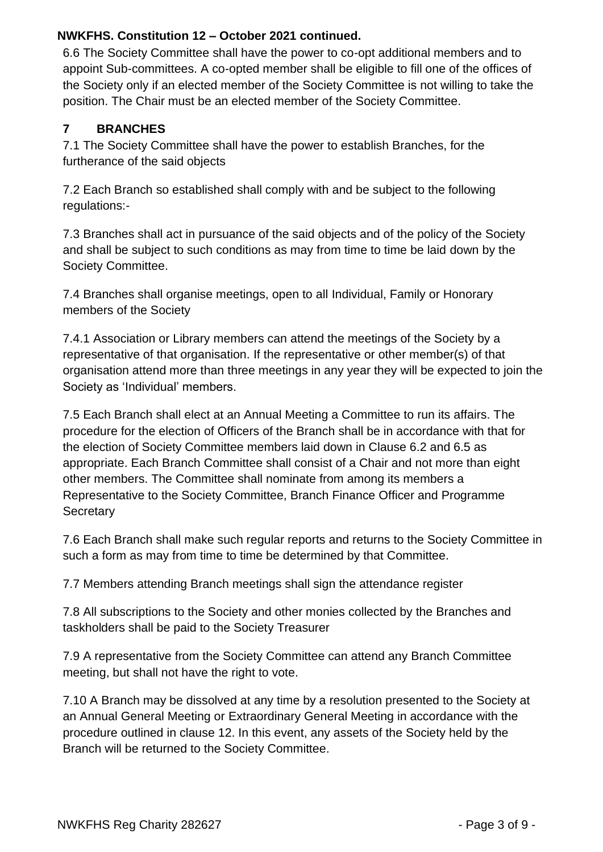6.6 The Society Committee shall have the power to co-opt additional members and to appoint Sub-committees. A co-opted member shall be eligible to fill one of the offices of the Society only if an elected member of the Society Committee is not willing to take the position. The Chair must be an elected member of the Society Committee.

# **7 BRANCHES**

7.1 The Society Committee shall have the power to establish Branches, for the furtherance of the said objects

7.2 Each Branch so established shall comply with and be subject to the following regulations:-

7.3 Branches shall act in pursuance of the said objects and of the policy of the Society and shall be subject to such conditions as may from time to time be laid down by the Society Committee.

7.4 Branches shall organise meetings, open to all Individual, Family or Honorary members of the Society

7.4.1 Association or Library members can attend the meetings of the Society by a representative of that organisation. If the representative or other member(s) of that organisation attend more than three meetings in any year they will be expected to join the Society as 'Individual' members.

7.5 Each Branch shall elect at an Annual Meeting a Committee to run its affairs. The procedure for the election of Officers of the Branch shall be in accordance with that for the election of Society Committee members laid down in Clause 6.2 and 6.5 as appropriate. Each Branch Committee shall consist of a Chair and not more than eight other members. The Committee shall nominate from among its members a Representative to the Society Committee, Branch Finance Officer and Programme **Secretary** 

7.6 Each Branch shall make such regular reports and returns to the Society Committee in such a form as may from time to time be determined by that Committee.

7.7 Members attending Branch meetings shall sign the attendance register

7.8 All subscriptions to the Society and other monies collected by the Branches and taskholders shall be paid to the Society Treasurer

7.9 A representative from the Society Committee can attend any Branch Committee meeting, but shall not have the right to vote.

7.10 A Branch may be dissolved at any time by a resolution presented to the Society at an Annual General Meeting or Extraordinary General Meeting in accordance with the procedure outlined in clause 12. In this event, any assets of the Society held by the Branch will be returned to the Society Committee.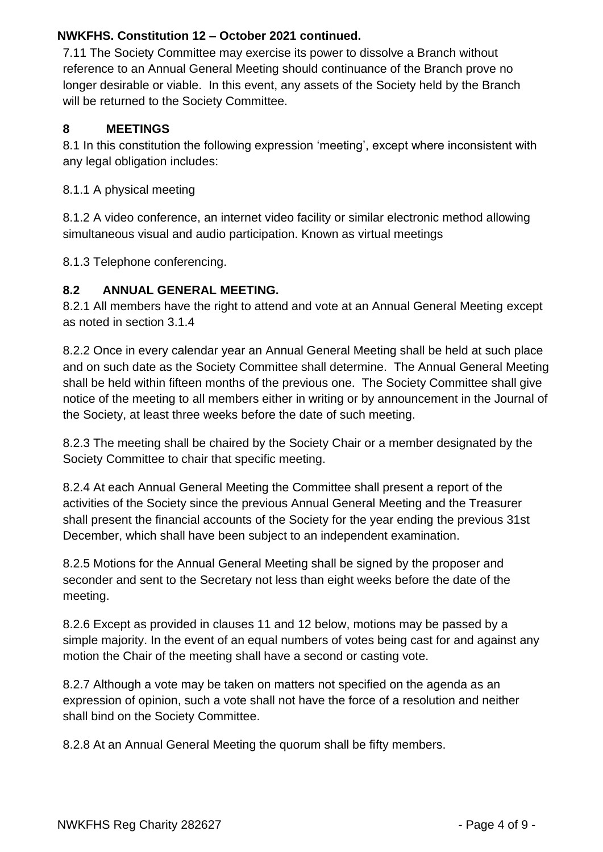7.11 The Society Committee may exercise its power to dissolve a Branch without reference to an Annual General Meeting should continuance of the Branch prove no longer desirable or viable. In this event, any assets of the Society held by the Branch will be returned to the Society Committee.

#### **8 MEETINGS**

8.1 In this constitution the following expression 'meeting', except where inconsistent with any legal obligation includes:

8.1.1 A physical meeting

8.1.2 A video conference, an internet video facility or similar electronic method allowing simultaneous visual and audio participation. Known as virtual meetings

8.1.3 Telephone conferencing.

# **8.2 ANNUAL GENERAL MEETING.**

8.2.1 All members have the right to attend and vote at an Annual General Meeting except as noted in section 3.1.4

8.2.2 Once in every calendar year an Annual General Meeting shall be held at such place and on such date as the Society Committee shall determine. The Annual General Meeting shall be held within fifteen months of the previous one. The Society Committee shall give notice of the meeting to all members either in writing or by announcement in the Journal of the Society, at least three weeks before the date of such meeting.

8.2.3 The meeting shall be chaired by the Society Chair or a member designated by the Society Committee to chair that specific meeting.

8.2.4 At each Annual General Meeting the Committee shall present a report of the activities of the Society since the previous Annual General Meeting and the Treasurer shall present the financial accounts of the Society for the year ending the previous 31st December, which shall have been subject to an independent examination.

8.2.5 Motions for the Annual General Meeting shall be signed by the proposer and seconder and sent to the Secretary not less than eight weeks before the date of the meeting.

8.2.6 Except as provided in clauses 11 and 12 below, motions may be passed by a simple majority. In the event of an equal numbers of votes being cast for and against any motion the Chair of the meeting shall have a second or casting vote.

8.2.7 Although a vote may be taken on matters not specified on the agenda as an expression of opinion, such a vote shall not have the force of a resolution and neither shall bind on the Society Committee.

8.2.8 At an Annual General Meeting the quorum shall be fifty members.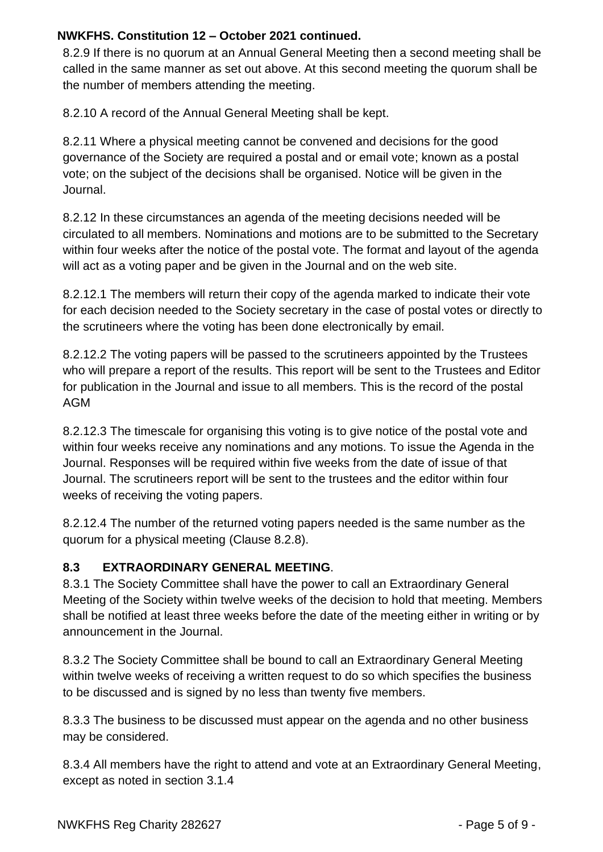8.2.9 If there is no quorum at an Annual General Meeting then a second meeting shall be called in the same manner as set out above. At this second meeting the quorum shall be the number of members attending the meeting.

8.2.10 A record of the Annual General Meeting shall be kept.

8.2.11 Where a physical meeting cannot be convened and decisions for the good governance of the Society are required a postal and or email vote; known as a postal vote; on the subject of the decisions shall be organised. Notice will be given in the Journal.

8.2.12 In these circumstances an agenda of the meeting decisions needed will be circulated to all members. Nominations and motions are to be submitted to the Secretary within four weeks after the notice of the postal vote. The format and layout of the agenda will act as a voting paper and be given in the Journal and on the web site.

8.2.12.1 The members will return their copy of the agenda marked to indicate their vote for each decision needed to the Society secretary in the case of postal votes or directly to the scrutineers where the voting has been done electronically by email.

8.2.12.2 The voting papers will be passed to the scrutineers appointed by the Trustees who will prepare a report of the results. This report will be sent to the Trustees and Editor for publication in the Journal and issue to all members. This is the record of the postal AGM

8.2.12.3 The timescale for organising this voting is to give notice of the postal vote and within four weeks receive any nominations and any motions. To issue the Agenda in the Journal. Responses will be required within five weeks from the date of issue of that Journal. The scrutineers report will be sent to the trustees and the editor within four weeks of receiving the voting papers.

8.2.12.4 The number of the returned voting papers needed is the same number as the quorum for a physical meeting (Clause 8.2.8).

# **8.3 EXTRAORDINARY GENERAL MEETING**.

8.3.1 The Society Committee shall have the power to call an Extraordinary General Meeting of the Society within twelve weeks of the decision to hold that meeting. Members shall be notified at least three weeks before the date of the meeting either in writing or by announcement in the Journal.

8.3.2 The Society Committee shall be bound to call an Extraordinary General Meeting within twelve weeks of receiving a written request to do so which specifies the business to be discussed and is signed by no less than twenty five members.

8.3.3 The business to be discussed must appear on the agenda and no other business may be considered.

8.3.4 All members have the right to attend and vote at an Extraordinary General Meeting, except as noted in section 3.1.4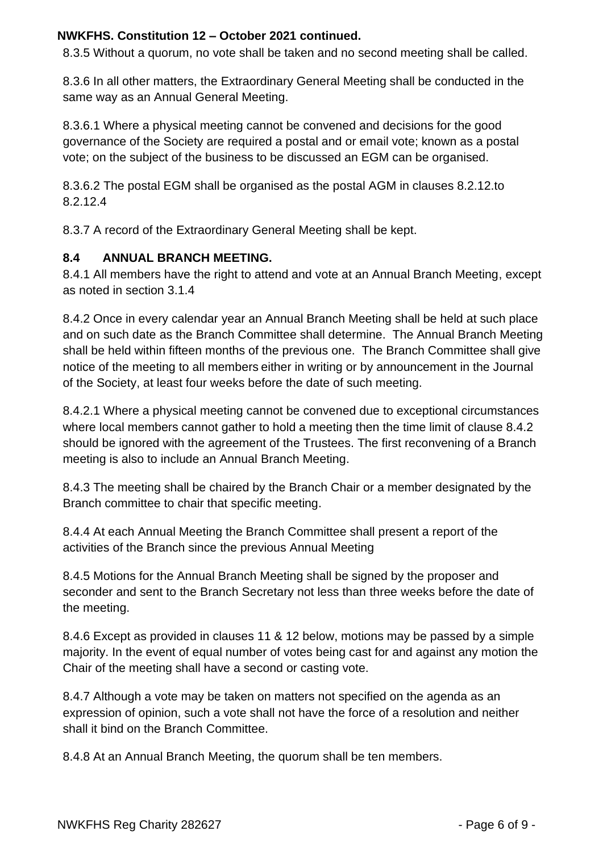8.3.5 Without a quorum, no vote shall be taken and no second meeting shall be called.

8.3.6 In all other matters, the Extraordinary General Meeting shall be conducted in the same way as an Annual General Meeting.

8.3.6.1 Where a physical meeting cannot be convened and decisions for the good governance of the Society are required a postal and or email vote; known as a postal vote; on the subject of the business to be discussed an EGM can be organised.

8.3.6.2 The postal EGM shall be organised as the postal AGM in clauses 8.2.12.to 8.2.12.4

8.3.7 A record of the Extraordinary General Meeting shall be kept.

#### **8.4 ANNUAL BRANCH MEETING.**

8.4.1 All members have the right to attend and vote at an Annual Branch Meeting, except as noted in section 3.1.4

8.4.2 Once in every calendar year an Annual Branch Meeting shall be held at such place and on such date as the Branch Committee shall determine. The Annual Branch Meeting shall be held within fifteen months of the previous one. The Branch Committee shall give notice of the meeting to all members either in writing or by announcement in the Journal of the Society, at least four weeks before the date of such meeting.

8.4.2.1 Where a physical meeting cannot be convened due to exceptional circumstances where local members cannot gather to hold a meeting then the time limit of clause 8.4.2 should be ignored with the agreement of the Trustees. The first reconvening of a Branch meeting is also to include an Annual Branch Meeting.

8.4.3 The meeting shall be chaired by the Branch Chair or a member designated by the Branch committee to chair that specific meeting.

8.4.4 At each Annual Meeting the Branch Committee shall present a report of the activities of the Branch since the previous Annual Meeting

8.4.5 Motions for the Annual Branch Meeting shall be signed by the proposer and seconder and sent to the Branch Secretary not less than three weeks before the date of the meeting.

8.4.6 Except as provided in clauses 11 & 12 below, motions may be passed by a simple majority. In the event of equal number of votes being cast for and against any motion the Chair of the meeting shall have a second or casting vote.

8.4.7 Although a vote may be taken on matters not specified on the agenda as an expression of opinion, such a vote shall not have the force of a resolution and neither shall it bind on the Branch Committee.

8.4.8 At an Annual Branch Meeting, the quorum shall be ten members.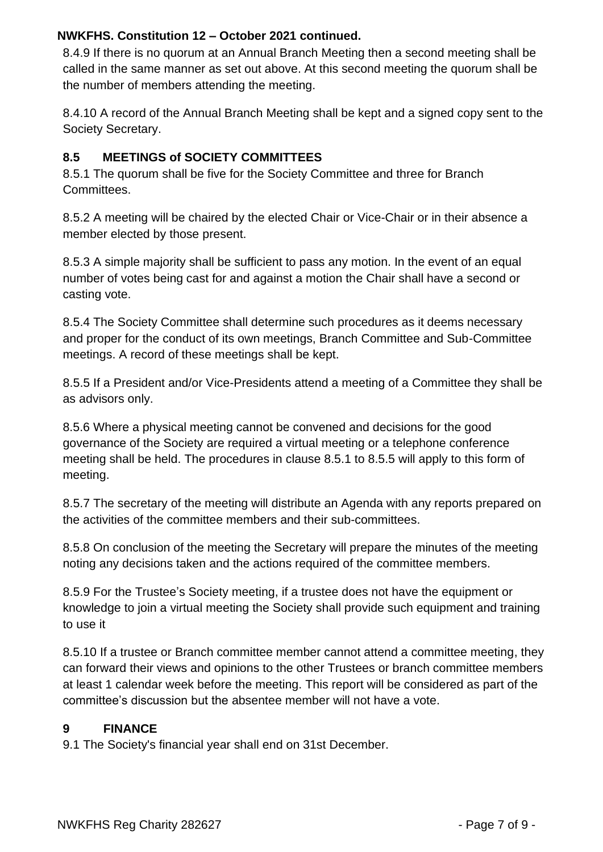8.4.9 If there is no quorum at an Annual Branch Meeting then a second meeting shall be called in the same manner as set out above. At this second meeting the quorum shall be the number of members attending the meeting.

8.4.10 A record of the Annual Branch Meeting shall be kept and a signed copy sent to the Society Secretary.

# **8.5 MEETINGS of SOCIETY COMMITTEES**

8.5.1 The quorum shall be five for the Society Committee and three for Branch Committees.

8.5.2 A meeting will be chaired by the elected Chair or Vice-Chair or in their absence a member elected by those present.

8.5.3 A simple majority shall be sufficient to pass any motion. In the event of an equal number of votes being cast for and against a motion the Chair shall have a second or casting vote.

8.5.4 The Society Committee shall determine such procedures as it deems necessary and proper for the conduct of its own meetings, Branch Committee and Sub-Committee meetings. A record of these meetings shall be kept.

8.5.5 If a President and/or Vice-Presidents attend a meeting of a Committee they shall be as advisors only.

8.5.6 Where a physical meeting cannot be convened and decisions for the good governance of the Society are required a virtual meeting or a telephone conference meeting shall be held. The procedures in clause 8.5.1 to 8.5.5 will apply to this form of meeting.

8.5.7 The secretary of the meeting will distribute an Agenda with any reports prepared on the activities of the committee members and their sub-committees.

8.5.8 On conclusion of the meeting the Secretary will prepare the minutes of the meeting noting any decisions taken and the actions required of the committee members.

8.5.9 For the Trustee's Society meeting, if a trustee does not have the equipment or knowledge to join a virtual meeting the Society shall provide such equipment and training to use it

8.5.10 If a trustee or Branch committee member cannot attend a committee meeting, they can forward their views and opinions to the other Trustees or branch committee members at least 1 calendar week before the meeting. This report will be considered as part of the committee's discussion but the absentee member will not have a vote.

# **9 FINANCE**

9.1 The Society's financial year shall end on 31st December.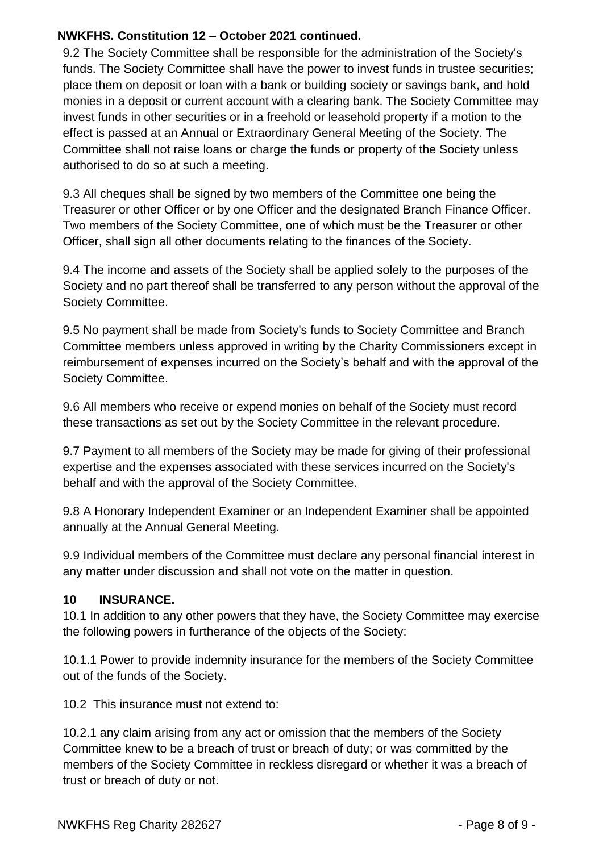9.2 The Society Committee shall be responsible for the administration of the Society's funds. The Society Committee shall have the power to invest funds in trustee securities; place them on deposit or loan with a bank or building society or savings bank, and hold monies in a deposit or current account with a clearing bank. The Society Committee may invest funds in other securities or in a freehold or leasehold property if a motion to the effect is passed at an Annual or Extraordinary General Meeting of the Society. The Committee shall not raise loans or charge the funds or property of the Society unless authorised to do so at such a meeting.

9.3 All cheques shall be signed by two members of the Committee one being the Treasurer or other Officer or by one Officer and the designated Branch Finance Officer. Two members of the Society Committee, one of which must be the Treasurer or other Officer, shall sign all other documents relating to the finances of the Society.

9.4 The income and assets of the Society shall be applied solely to the purposes of the Society and no part thereof shall be transferred to any person without the approval of the Society Committee.

9.5 No payment shall be made from Society's funds to Society Committee and Branch Committee members unless approved in writing by the Charity Commissioners except in reimbursement of expenses incurred on the Society's behalf and with the approval of the Society Committee.

9.6 All members who receive or expend monies on behalf of the Society must record these transactions as set out by the Society Committee in the relevant procedure.

9.7 Payment to all members of the Society may be made for giving of their professional expertise and the expenses associated with these services incurred on the Society's behalf and with the approval of the Society Committee.

9.8 A Honorary Independent Examiner or an Independent Examiner shall be appointed annually at the Annual General Meeting.

9.9 Individual members of the Committee must declare any personal financial interest in any matter under discussion and shall not vote on the matter in question.

# **10 INSURANCE.**

10.1 In addition to any other powers that they have, the Society Committee may exercise the following powers in furtherance of the objects of the Society:

10.1.1 Power to provide indemnity insurance for the members of the Society Committee out of the funds of the Society.

10.2 This insurance must not extend to:

10.2.1 any claim arising from any act or omission that the members of the Society Committee knew to be a breach of trust or breach of duty; or was committed by the members of the Society Committee in reckless disregard or whether it was a breach of trust or breach of duty or not.